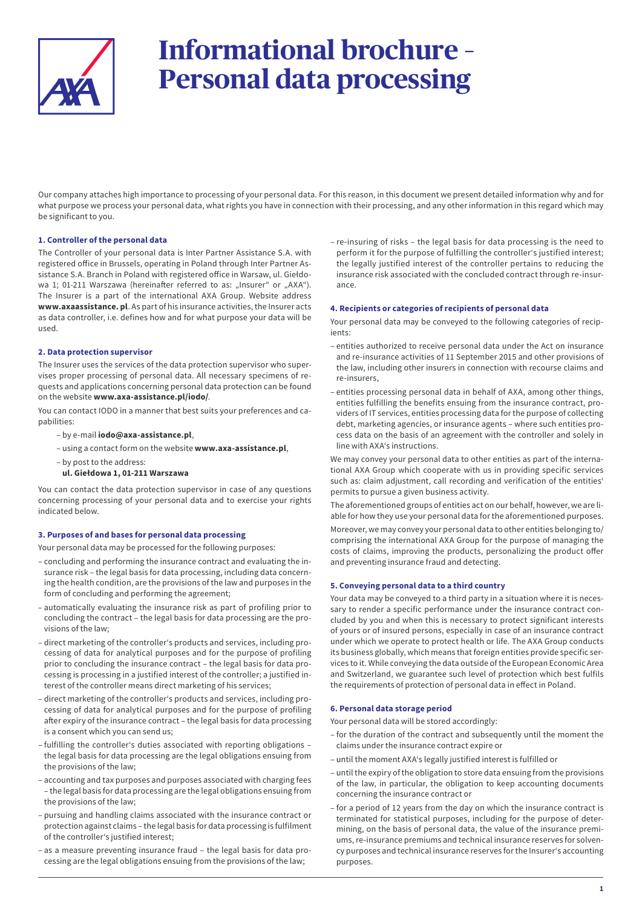

# **Informational brochure – Personal data processing**

Our company attaches high importance to processing of your personal data. For this reason, in this document we present detailed information why and for what purpose we process your personal data, what rights you have in connection with their processing, and any other information in this regard which may be significant to you.

## **1. Controller of the personal data**

The Controller of your personal data is Inter Partner Assistance S.A. with registered office in Brussels, operating in Poland through Inter Partner Assistance S.A. Branch in Poland with registered office in Warsaw, ul. Giełdowa 1; 01-211 Warszawa (hereinafter referred to as: "Insurer" or "AXA"). The Insurer is a part of the international AXA Group. Website address **www.axaassistance. pl**. As part of his insurance activities, the Insurer acts as data controller, i.e. defines how and for what purpose your data will be used.

#### **2. Data protection supervisor**

The Insurer uses the services of the data protection supervisor who supervises proper processing of personal data. All necessary specimens of requests and applications concerning personal data protection can be found on the website **www.axa-assistance.pl/iodo/**.

You can contact IODO in a manner that best suits your preferences and capabilities:

- by e-mail **iodo@axa-assistance.pl**,
- using a contact form on the website **www.axa-assistance.pl**,
- by post to the address:
- **ul. Giełdowa 1, 01-211 Warszawa**

You can contact the data protection supervisor in case of any questions concerning processing of your personal data and to exercise your rights indicated below.

#### **3. Purposes of and bases for personal data processing**

Your personal data may be processed for the following purposes:

- concluding and performing the insurance contract and evaluating the insurance risk – the legal basis for data processing, including data concerning the health condition, are the provisions of the law and purposes in the form of concluding and performing the agreement;
- automatically evaluating the insurance risk as part of profiling prior to concluding the contract – the legal basis for data processing are the provisions of the law;
- direct marketing of the controller's products and services, including processing of data for analytical purposes and for the purpose of profiling prior to concluding the insurance contract – the legal basis for data processing is processing in a justified interest of the controller; a justified interest of the controller means direct marketing of his services;
- direct marketing of the controller's products and services, including processing of data for analytical purposes and for the purpose of profiling after expiry of the insurance contract – the legal basis for data processing is a consent which you can send us;
- fulfilling the controller's duties associated with reporting obligations the legal basis for data processing are the legal obligations ensuing from the provisions of the law;
- accounting and tax purposes and purposes associated with charging fees – the legal basis for data processing are the legal obligations ensuing from the provisions of the law;
- pursuing and handling claims associated with the insurance contract or protection against claims – the legal basis for data processing is fulfilment of the controller's justified interest;
- as a measure preventing insurance fraud the legal basis for data processing are the legal obligations ensuing from the provisions of the law;

– re-insuring of risks – the legal basis for data processing is the need to perform it for the purpose of fulfilling the controller's justified interest; the legally justified interest of the controller pertains to reducing the insurance risk associated with the concluded contract through re-insurance.

#### **4. Recipients or categories of recipients of personal data**

Your personal data may be conveyed to the following categories of recipients:

- entities authorized to receive personal data under the Act on insurance and re-insurance activities of 11 September 2015 and other provisions of the law, including other insurers in connection with recourse claims and re-insurers,
- entities processing personal data in behalf of AXA, among other things, entities fulfilling the benefits ensuing from the insurance contract, providers of IT services, entities processing data for the purpose of collecting debt, marketing agencies, or insurance agents – where such entities process data on the basis of an agreement with the controller and solely in line with AXA's instructions.

We may convey your personal data to other entities as part of the international AXA Group which cooperate with us in providing specific services such as: claim adjustment, call recording and verification of the entities' permits to pursue a given business activity.

The aforementioned groups of entities act on our behalf, however, we are liable for how they use your personal data for the aforementioned purposes.

Moreover, we may convey your personal data to other entities belonging to/ comprising the international AXA Group for the purpose of managing the costs of claims, improving the products, personalizing the product offer and preventing insurance fraud and detecting.

#### **5. Conveying personal data to a third country**

Your data may be conveyed to a third party in a situation where it is necessary to render a specific performance under the insurance contract concluded by you and when this is necessary to protect significant interests of yours or of insured persons, especially in case of an insurance contract under which we operate to protect health or life. The AXA Group conducts its business globally, which means that foreign entities provide specific services to it. While conveying the data outside of the European Economic Area and Switzerland, we guarantee such level of protection which best fulfils the requirements of protection of personal data in effect in Poland.

#### **6. Personal data storage period**

Your personal data will be stored accordingly:

- for the duration of the contract and subsequently until the moment the claims under the insurance contract expire or
- until the moment AXA's legally justified interest is fulfilled or
- until the expiry of the obligation to store data ensuing from the provisions of the law, in particular, the obligation to keep accounting documents concerning the insurance contract or
- for a period of 12 years from the day on which the insurance contract is terminated for statistical purposes, including for the purpose of determining, on the basis of personal data, the value of the insurance premiums, re-insurance premiums and technical insurance reserves for solvency purposes and technical insurance reserves for the Insurer's accounting purposes.